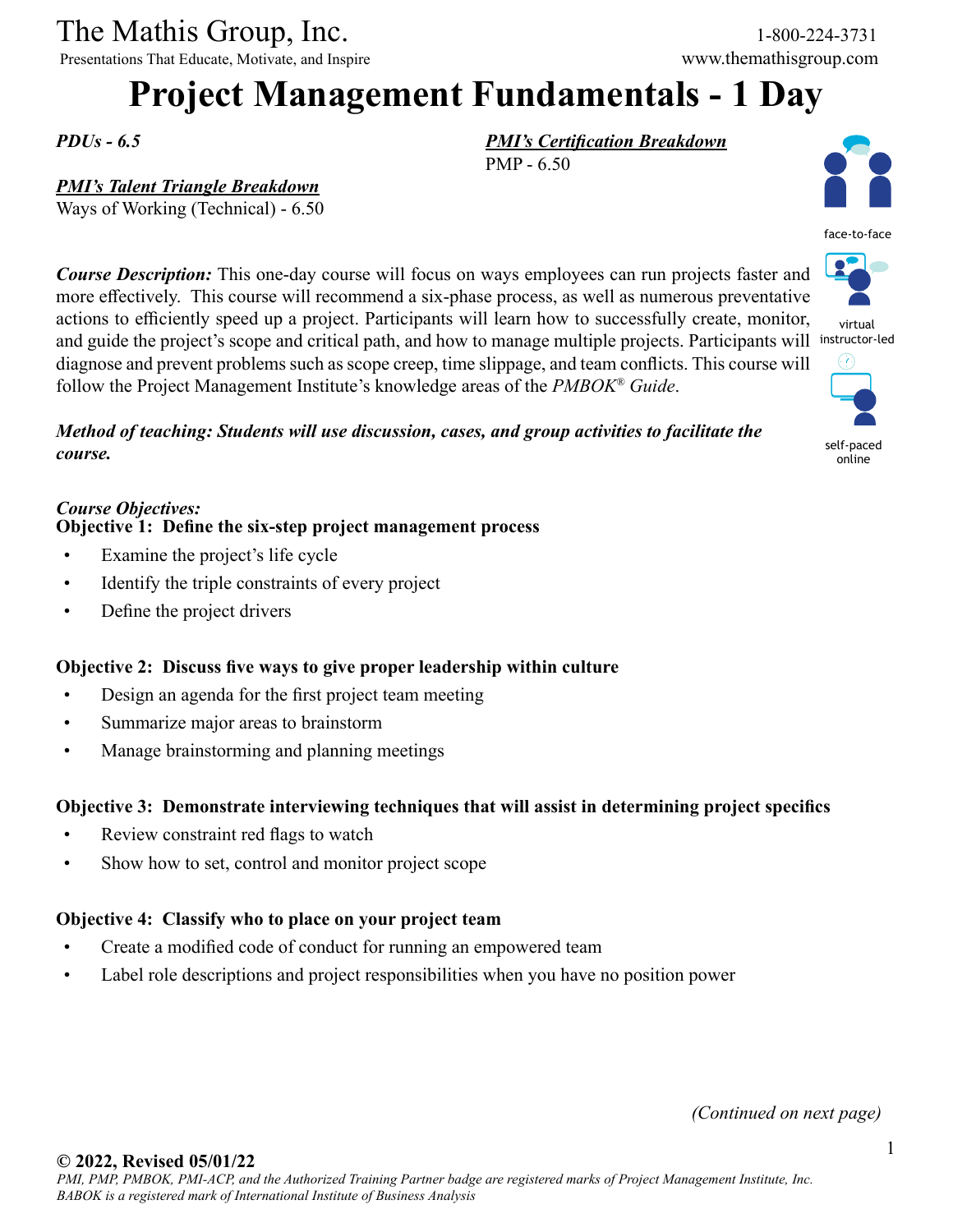The Mathis Group, Inc. 1-800-224-3731

Presentations That Educate, Motivate, and Inspire www.themathisgroup.com

# **Project Management Fundamentals - 1 Day**

PMP - 6.50

*PMI's Certification Breakdown*

*PDUs - 6.5*

### *PMI's Talent Triangle Breakdown*

Ways of Working (Technical) - 6.50

*Course Description:* This one-day course will focus on ways employees can run projects faster and more effectively. This course will recommend a six-phase process, as well as numerous preventative actions to efficiently speed up a project. Participants will learn how to successfully create, monitor, and guide the project's scope and critical path, and how to manage multiple projects. Participants will instructor-led diagnose and prevent problems such as scope creep, time slippage, and team conflicts. This course will follow the Project Management Institute's knowledge areas of the *PMBOK® Guide*.

*Method of teaching: Students will use discussion, cases, and group activities to facilitate the course.*

#### *Course Objectives:* **Objective 1: Define the six-step project management process**

- Examine the project's life cycle
- Identify the triple constraints of every project
- Define the project drivers

#### **Objective 2: Discuss five ways to give proper leadership within culture**

- Design an agenda for the first project team meeting
- Summarize major areas to brainstorm
- Manage brainstorming and planning meetings

#### **Objective 3: Demonstrate interviewing techniques that will assist in determining project specifics**

- Review constraint red flags to watch
- Show how to set, control and monitor project scope

#### **Objective 4: Classify who to place on your project team**

- Create a modified code of conduct for running an empowered team
- Label role descriptions and project responsibilities when you have no position power





virtual



self-paced online

*(Continued on next page)*

#### **© 2022, Revised 05/01/22**